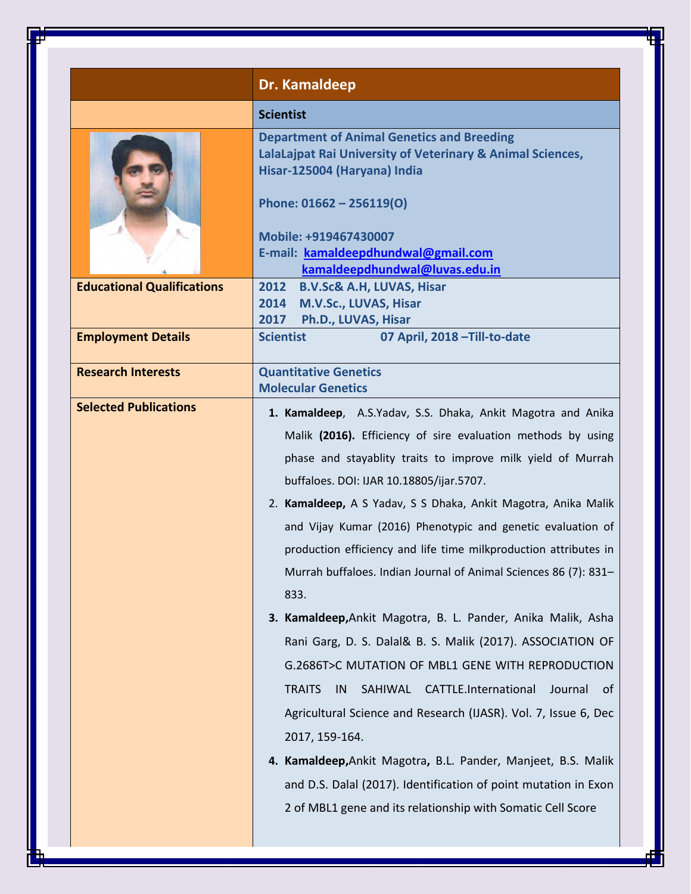|                                   | Dr. Kamaldeep                                                                                                                                                                                                                                                                                                                                                                                                                                                                                                                                                                                                                                                                                                                                                                                                                                            |
|-----------------------------------|----------------------------------------------------------------------------------------------------------------------------------------------------------------------------------------------------------------------------------------------------------------------------------------------------------------------------------------------------------------------------------------------------------------------------------------------------------------------------------------------------------------------------------------------------------------------------------------------------------------------------------------------------------------------------------------------------------------------------------------------------------------------------------------------------------------------------------------------------------|
|                                   | <b>Scientist</b>                                                                                                                                                                                                                                                                                                                                                                                                                                                                                                                                                                                                                                                                                                                                                                                                                                         |
|                                   | <b>Department of Animal Genetics and Breeding</b><br>LalaLajpat Rai University of Veterinary & Animal Sciences,<br>Hisar-125004 (Haryana) India<br>Phone: 01662 - 256119(O)<br>Mobile: +919467430007<br>E-mail: kamaldeepdhundwal@gmail.com<br>kamaldeepdhundwal@luvas.edu.in                                                                                                                                                                                                                                                                                                                                                                                                                                                                                                                                                                            |
| <b>Educational Qualifications</b> | <b>B.V.Sc&amp; A.H, LUVAS, Hisar</b><br>2012                                                                                                                                                                                                                                                                                                                                                                                                                                                                                                                                                                                                                                                                                                                                                                                                             |
|                                   | 2014 M.V.Sc., LUVAS, Hisar<br>2017 Ph.D., LUVAS, Hisar                                                                                                                                                                                                                                                                                                                                                                                                                                                                                                                                                                                                                                                                                                                                                                                                   |
| <b>Employment Details</b>         | 07 April, 2018 - Till-to-date<br><b>Scientist</b>                                                                                                                                                                                                                                                                                                                                                                                                                                                                                                                                                                                                                                                                                                                                                                                                        |
| <b>Research Interests</b>         | <b>Quantitative Genetics</b><br><b>Molecular Genetics</b>                                                                                                                                                                                                                                                                                                                                                                                                                                                                                                                                                                                                                                                                                                                                                                                                |
|                                   | 1. Kamaldeep, A.S.Yadav, S.S. Dhaka, Ankit Magotra and Anika<br>Malik (2016). Efficiency of sire evaluation methods by using<br>phase and stayablity traits to improve milk yield of Murrah<br>buffaloes. DOI: IJAR 10.18805/ijar.5707.<br>2. Kamaldeep, A S Yadav, S S Dhaka, Ankit Magotra, Anika Malik<br>and Vijay Kumar (2016) Phenotypic and genetic evaluation of<br>production efficiency and life time milkproduction attributes in<br>Murrah buffaloes. Indian Journal of Animal Sciences 86 (7): 831-<br>833.<br>3. Kamaldeep, Ankit Magotra, B. L. Pander, Anika Malik, Asha<br>Rani Garg, D. S. Dalal& B. S. Malik (2017). ASSOCIATION OF<br>G.2686T>C MUTATION OF MBL1 GENE WITH REPRODUCTION<br>SAHIWAL CATTLE.International<br><b>TRAITS</b><br>IN<br>Journal<br>of -<br>Agricultural Science and Research (IJASR). Vol. 7, Issue 6, Dec |
|                                   | 2017, 159-164.<br>4. Kamaldeep, Ankit Magotra, B.L. Pander, Manjeet, B.S. Malik<br>and D.S. Dalal (2017). Identification of point mutation in Exon<br>2 of MBL1 gene and its relationship with Somatic Cell Score                                                                                                                                                                                                                                                                                                                                                                                                                                                                                                                                                                                                                                        |